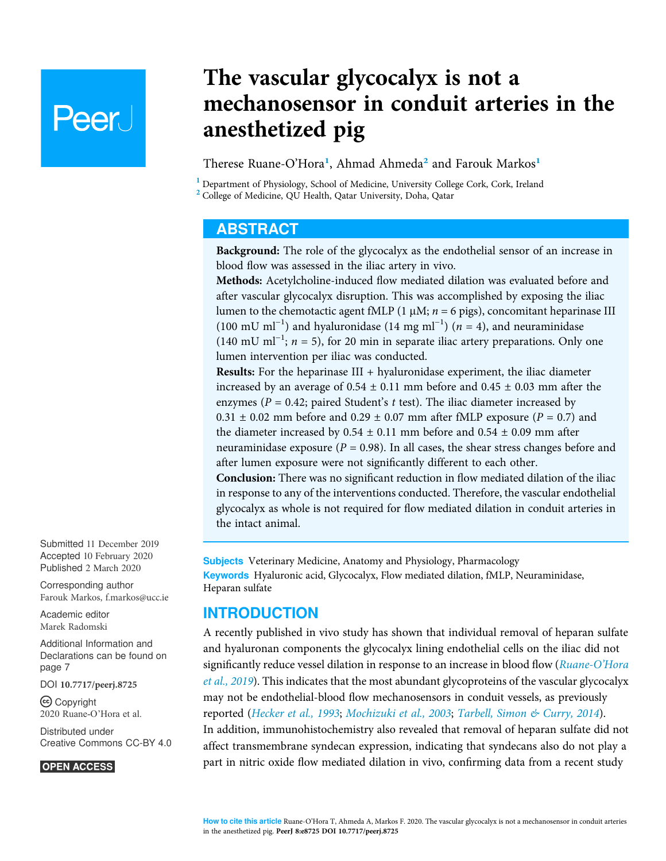# Peer I

## The vascular glycocalyx is not a mechanosensor in conduit arteries in the anesthetized pig

Therese Ruane-O'Hora<sup>1</sup>, Ahmad Ahmeda<sup>2</sup> and Farouk Markos<sup>1</sup>

<sup>1</sup> Department of Physiology, School of Medicine, University College Cork, Cork, Ireland <sup>2</sup> College of Medicine, QU Health, Qatar University, Doha, Qatar

### ABSTRACT

Background: The role of the glycocalyx as the endothelial sensor of an increase in blood flow was assessed in the iliac artery in vivo.

Methods: Acetylcholine-induced flow mediated dilation was evaluated before and after vascular glycocalyx disruption. This was accomplished by exposing the iliac lumen to the chemotactic agent fMLP (1  $\mu$ M;  $n = 6$  pigs), concomitant heparinase III (100 mU ml<sup>-1</sup>) and hyaluronidase (14 mg ml<sup>-1</sup>) (*n* = 4), and neuraminidase  $(140 \text{ mU m}^{-1})$ ;  $n = 5$ ), for 20 min in separate iliac artery preparations. Only one lumen intervention per iliac was conducted.

**Results:** For the heparinase  $III + hyaluronidase experiment$ , the iliac diameter increased by an average of  $0.54 \pm 0.11$  mm before and  $0.45 \pm 0.03$  mm after the enzymes ( $P = 0.42$ ; paired Student's t test). The iliac diameter increased by  $0.31 \pm 0.02$  mm before and  $0.29 \pm 0.07$  mm after fMLP exposure ( $P = 0.7$ ) and the diameter increased by  $0.54 \pm 0.11$  mm before and  $0.54 \pm 0.09$  mm after neuraminidase exposure ( $P = 0.98$ ). In all cases, the shear stress changes before and after lumen exposure were not significantly different to each other. Conclusion: There was no significant reduction in flow mediated dilation of the iliac in response to any of the interventions conducted. Therefore, the vascular endothelial glycocalyx as whole is not required for flow mediated dilation in conduit arteries in the intact animal.

Subjects Veterinary Medicine, Anatomy and Physiology, Pharmacology Keywords Hyaluronic acid, Glycocalyx, Flow mediated dilation, fMLP, Neuraminidase, Heparan sulfate

### INTRODUCTION

A recently published in vivo study has shown that individual removal of heparan sulfate and hyaluronan components the glycocalyx lining endothelial cells on the iliac did not significantly reduce vessel dilation in response to an increase in blood flow (Ruane-O'Hora et al., 2019). This indicates that the most abundant glycoproteins of the vascular glycocalyx may not be endothelial-blood flow mechanosensors in conduit vessels, as previously reported (Hecker et al., 1993; Mochizuki et al., 2003; Tarbell, Simon & Curry, 2014). In addition, immunohistochemistry also revealed that removal of heparan sulfate did not affect transmembrane syndecan expression, indicating that syndecans also do not play a part in nitric oxide flow mediated dilation in vivo, confirming data from a recent study

Submitted 11 December 2019 Accepted 10 February 2020 Published 2 March 2020

Corresponding author Farouk Markos, f.markos@ucc.ie

Academic editor Marek Radomski

Additional Information and Declarations can be found on page 7

DOI 10.7717/peerj.8725

Copyright 2020 Ruane-O'Hora et al.

Distributed under Creative Commons CC-BY 4.0

#### **OPEN ACCESS**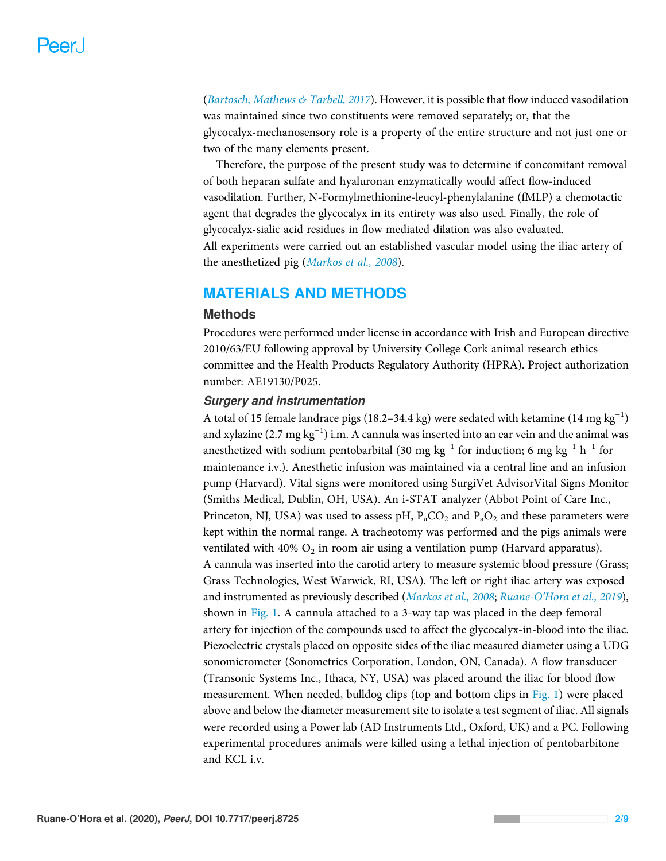(Bartosch, Mathews & Tarbell, 2017). However, it is possible that flow induced vasodilation was maintained since two constituents were removed separately; or, that the glycocalyx-mechanosensory role is a property of the entire structure and not just one or two of the many elements present.

Therefore, the purpose of the present study was to determine if concomitant removal of both heparan sulfate and hyaluronan enzymatically would affect flow-induced vasodilation. Further, N-Formylmethionine-leucyl-phenylalanine (fMLP) a chemotactic agent that degrades the glycocalyx in its entirety was also used. Finally, the role of glycocalyx-sialic acid residues in flow mediated dilation was also evaluated. All experiments were carried out an established vascular model using the iliac artery of the anesthetized pig (Markos et al., 2008).

### MATERIALS AND METHODS

### **Methods**

Procedures were performed under license in accordance with Irish and European directive 2010/63/EU following approval by University College Cork animal research ethics committee and the Health Products Regulatory Authority (HPRA). Project authorization number: AE19130/P025.

### Surgery and instrumentation

A total of 15 female landrace pigs (18.2–34.4 kg) were sedated with ketamine  $(14 \text{ mg kg}^{-1})$ and xylazine (2.7 mg kg−<sup>1</sup> ) i.m. A cannula was inserted into an ear vein and the animal was anesthetized with sodium pentobarbital (30 mg kg<sup>-1</sup> for induction; 6 mg kg<sup>-1</sup> h<sup>-1</sup> for maintenance i.v.). Anesthetic infusion was maintained via a central line and an infusion pump (Harvard). Vital signs were monitored using SurgiVet AdvisorVital Signs Monitor (Smiths Medical, Dublin, OH, USA). An i-STAT analyzer (Abbot Point of Care Inc., Princeton, NJ, USA) was used to assess pH,  $P_aCO_2$  and  $P_aO_2$  and these parameters were kept within the normal range. A tracheotomy was performed and the pigs animals were ventilated with 40%  $\mathrm{O}_2$  in room air using a ventilation pump (Harvard apparatus). A cannula was inserted into the carotid artery to measure systemic blood pressure (Grass; Grass Technologies, West Warwick, RI, USA). The left or right iliac artery was exposed and instrumented as previously described (Markos et al., 2008; Ruane-O'Hora et al., 2019), shown in Fig. 1. A cannula attached to a 3-way tap was placed in the deep femoral artery for injection of the compounds used to affect the glycocalyx-in-blood into the iliac. Piezoelectric crystals placed on opposite sides of the iliac measured diameter using a UDG sonomicrometer (Sonometrics Corporation, London, ON, Canada). A flow transducer (Transonic Systems Inc., Ithaca, NY, USA) was placed around the iliac for blood flow measurement. When needed, bulldog clips (top and bottom clips in Fig. 1) were placed above and below the diameter measurement site to isolate a test segment of iliac. All signals were recorded using a Power lab (AD Instruments Ltd., Oxford, UK) and a PC. Following experimental procedures animals were killed using a lethal injection of pentobarbitone and KCL i.v.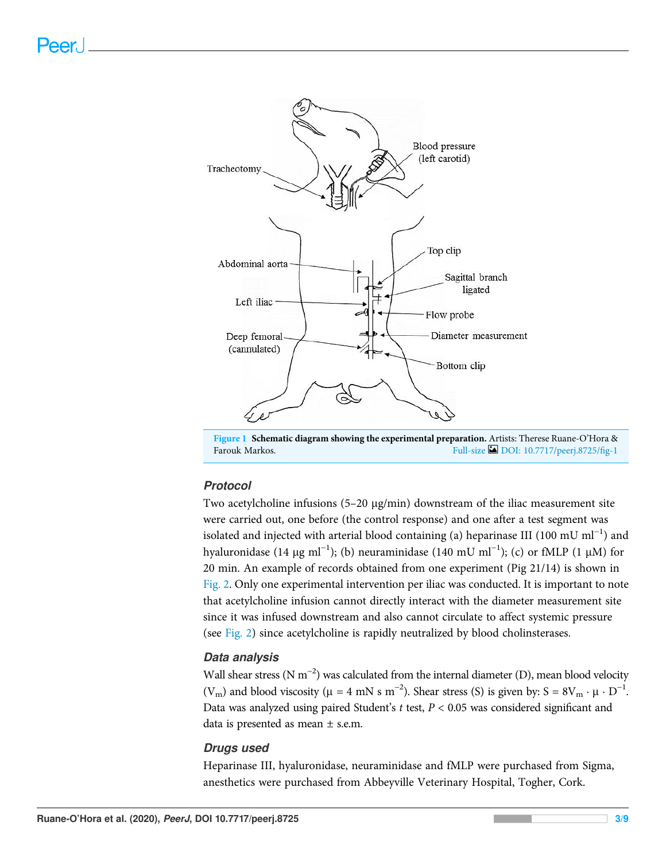

Figure 1 Schematic diagram showing the experimental preparation. Artists: Therese Ruane-O'Hora & Farouk Markos. Full-size DOI: 10.7717/peerj.8725/fig-1

### Protocol

Two acetylcholine infusions  $(5-20 \mu g/min)$  downstream of the iliac measurement site were carried out, one before (the control response) and one after a test segment was isolated and injected with arterial blood containing (a) heparinase III (100 mU ml−<sup>1</sup> ) and hyaluronidase (14 μg ml<sup>-1</sup>); (b) neuraminidase (140 mU ml<sup>-1</sup>); (c) or fMLP (1 μM) for 20 min. An example of records obtained from one experiment (Pig 21/14) is shown in Fig. 2. Only one experimental intervention per iliac was conducted. It is important to note that acetylcholine infusion cannot directly interact with the diameter measurement site since it was infused downstream and also cannot circulate to affect systemic pressure (see Fig. 2) since acetylcholine is rapidly neutralized by blood cholinsterases.

### Data analysis

Wall shear stress (N m<sup>-2</sup>) was calculated from the internal diameter (D), mean blood velocity (V<sub>m</sub>) and blood viscosity ( $\mu = 4$  mN s m<sup>-2</sup>). Shear stress (S) is given by: S =  $8V_m \cdot \mu \cdot D^{-1}$ . Data was analyzed using paired Student's  $t$  test,  $P < 0.05$  was considered significant and data is presented as mean  $\pm$  s.e.m.

#### Drugs used

Heparinase III, hyaluronidase, neuraminidase and fMLP were purchased from Sigma, anesthetics were purchased from Abbeyville Veterinary Hospital, Togher, Cork.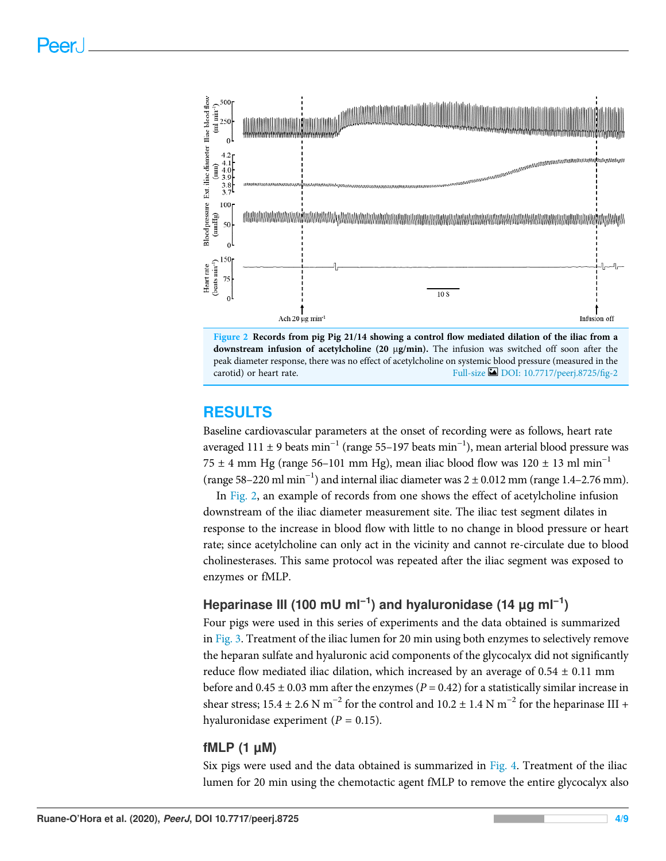



### RESULTS

Baseline cardiovascular parameters at the onset of recording were as follows, heart rate averaged 111 ± 9 beats min−<sup>1</sup> (range 55–197 beats min−<sup>1</sup> ), mean arterial blood pressure was 75 ± 4 mm Hg (range 56–101 mm Hg), mean iliac blood flow was  $120 \pm 13$  ml min<sup>-1</sup> (range 58–220 ml min−<sup>1</sup> ) and internal iliac diameter was 2 ± 0.012 mm (range 1.4–2.76 mm).

In Fig. 2, an example of records from one shows the effect of acetylcholine infusion downstream of the iliac diameter measurement site. The iliac test segment dilates in response to the increase in blood flow with little to no change in blood pressure or heart rate; since acetylcholine can only act in the vicinity and cannot re-circulate due to blood cholinesterases. This same protocol was repeated after the iliac segment was exposed to enzymes or fMLP.

### Heparinase III (100 mU ml<sup>-1</sup>) and hyaluronidase (14  $\mu$ g ml<sup>-1</sup>)

Four pigs were used in this series of experiments and the data obtained is summarized in Fig. 3. Treatment of the iliac lumen for 20 min using both enzymes to selectively remove the heparan sulfate and hyaluronic acid components of the glycocalyx did not significantly reduce flow mediated iliac dilation, which increased by an average of  $0.54 \pm 0.11$  mm before and  $0.45 \pm 0.03$  mm after the enzymes ( $P = 0.42$ ) for a statistically similar increase in shear stress; 15.4 ± 2.6 N m<sup>-2</sup> for the control and 10.2 ± 1.4 N m<sup>-2</sup> for the heparinase III + hyaluronidase experiment ( $P = 0.15$ ).

### fMLP (1 µM)

Six pigs were used and the data obtained is summarized in Fig. 4. Treatment of the iliac lumen for 20 min using the chemotactic agent fMLP to remove the entire glycocalyx also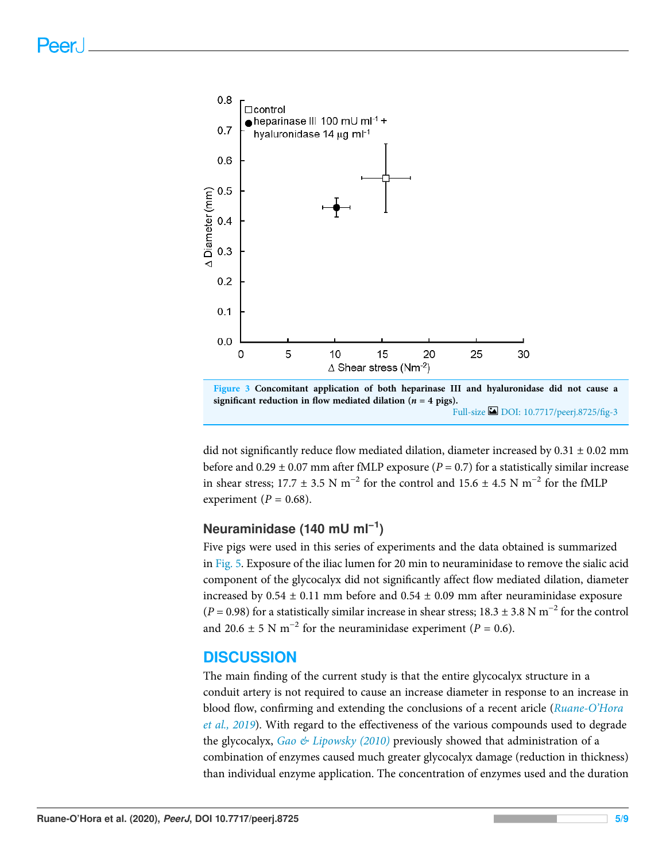

Figure 3 Concomitant application of both heparinase III and hyaluronidase did not cause a significant reduction in flow mediated dilation ( $n = 4$  pigs). Full-size DOI: 10.7717/peerj.8725/fig-3

did not significantly reduce flow mediated dilation, diameter increased by  $0.31 \pm 0.02$  mm before and  $0.29 \pm 0.07$  mm after fMLP exposure ( $P = 0.7$ ) for a statistically similar increase in shear stress; 17.7 ± 3.5 N m<sup>-2</sup> for the control and 15.6 ± 4.5 N m<sup>-2</sup> for the fMLP experiment ( $P = 0.68$ ).

### Neuraminidase (140 mU ml<sup>-1</sup>)

Five pigs were used in this series of experiments and the data obtained is summarized in Fig. 5. Exposure of the iliac lumen for 20 min to neuraminidase to remove the sialic acid component of the glycocalyx did not significantly affect flow mediated dilation, diameter increased by  $0.54 \pm 0.11$  mm before and  $0.54 \pm 0.09$  mm after neuraminidase exposure  $(P = 0.98)$  for a statistically similar increase in shear stress; 18.3 ± 3.8 N m<sup>-2</sup> for the control and 20.6 ± 5 N m<sup>-2</sup> for the neuraminidase experiment ( $P = 0.6$ ).

### **DISCUSSION**

The main finding of the current study is that the entire glycocalyx structure in a conduit artery is not required to cause an increase diameter in response to an increase in blood flow, confirming and extending the conclusions of a recent aricle (Ruane-O'Hora et al., 2019). With regard to the effectiveness of the various compounds used to degrade the glycocalyx,  $Gao \& Lipowski$  (2010) previously showed that administration of a combination of enzymes caused much greater glycocalyx damage (reduction in thickness) than individual enzyme application. The concentration of enzymes used and the duration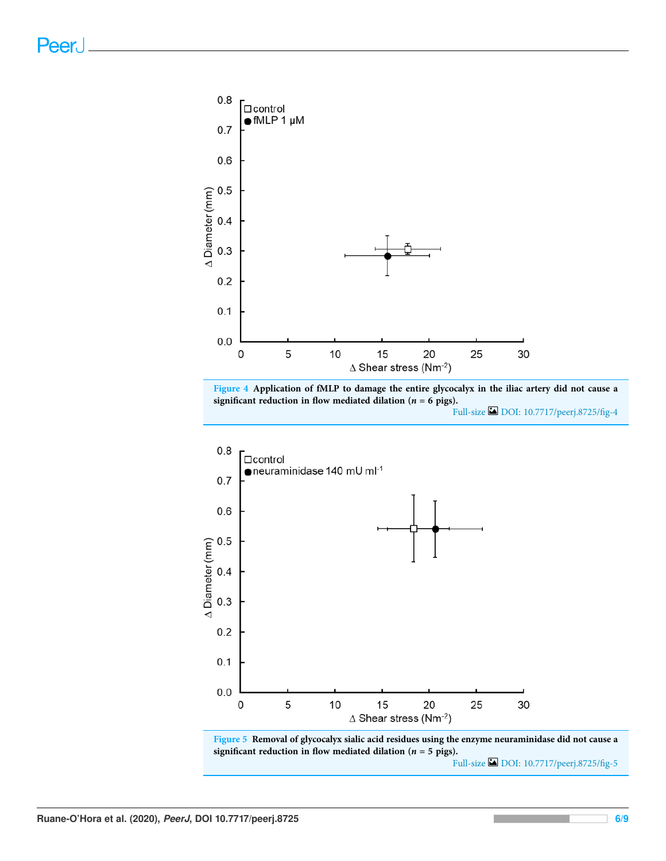

Figure 4 Application of fMLP to damage the entire glycocalyx in the iliac artery did not cause a significant reduction in flow mediated dilation ( $n = 6$  pigs).

Full-size DOI: 10.7717/peerj.8725/fig-4



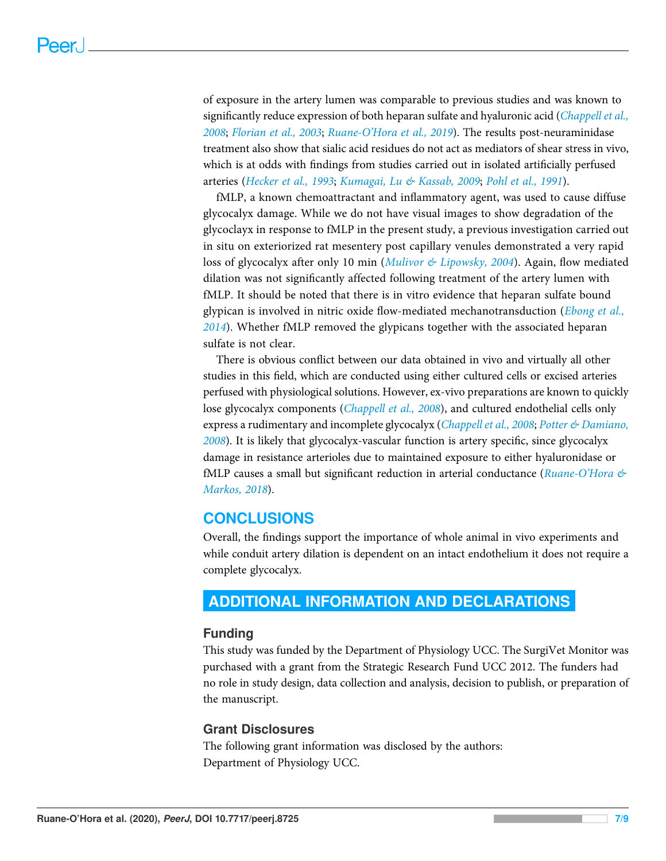of exposure in the artery lumen was comparable to previous studies and was known to significantly reduce expression of both heparan sulfate and hyaluronic acid (*Chappell et al.*, 2008; Florian et al., 2003; Ruane-O'Hora et al., 2019). The results post-neuraminidase treatment also show that sialic acid residues do not act as mediators of shear stress in vivo, which is at odds with findings from studies carried out in isolated artificially perfused arteries (Hecker et al., 1993; Kumagai, Lu & Kassab, 2009; Pohl et al., 1991).

fMLP, a known chemoattractant and inflammatory agent, was used to cause diffuse glycocalyx damage. While we do not have visual images to show degradation of the glycoclayx in response to fMLP in the present study, a previous investigation carried out in situ on exteriorized rat mesentery post capillary venules demonstrated a very rapid loss of glycocalyx after only 10 min (Mulivor & Lipowsky, 2004). Again, flow mediated dilation was not significantly affected following treatment of the artery lumen with fMLP. It should be noted that there is in vitro evidence that heparan sulfate bound glypican is involved in nitric oxide flow-mediated mechanotransduction (*Ebong et al.*, 2014). Whether fMLP removed the glypicans together with the associated heparan sulfate is not clear.

There is obvious conflict between our data obtained in vivo and virtually all other studies in this field, which are conducted using either cultured cells or excised arteries perfused with physiological solutions. However, ex-vivo preparations are known to quickly lose glycocalyx components (*Chappell et al., 2008*), and cultured endothelial cells only express a rudimentary and incomplete glycocalyx (Chappell et al., 2008; Potter & Damiano, 2008). It is likely that glycocalyx-vascular function is artery specific, since glycocalyx damage in resistance arterioles due to maintained exposure to either hyaluronidase or fMLP causes a small but significant reduction in arterial conductance (Ruane-O'Hora  $\&$ Markos, 2018).

### **CONCLUSIONS**

Overall, the findings support the importance of whole animal in vivo experiments and while conduit artery dilation is dependent on an intact endothelium it does not require a complete glycocalyx.

### ADDITIONAL INFORMATION AND DECLARATIONS

### Funding

This study was funded by the Department of Physiology UCC. The SurgiVet Monitor was purchased with a grant from the Strategic Research Fund UCC 2012. The funders had no role in study design, data collection and analysis, decision to publish, or preparation of the manuscript.

### Grant Disclosures

The following grant information was disclosed by the authors: Department of Physiology UCC.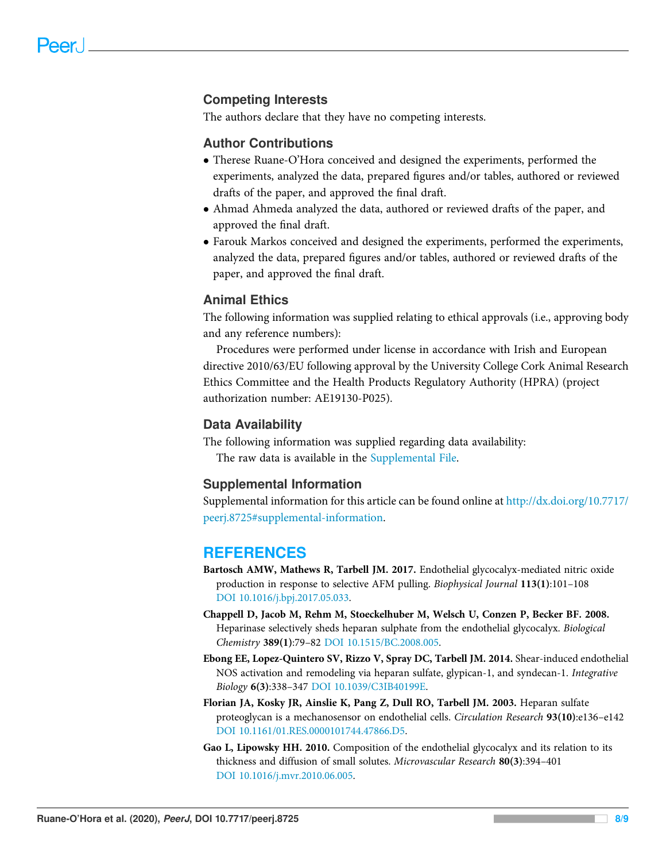### Competing Interests

The authors declare that they have no competing interests.

#### Author Contributions

- Therese Ruane-O'Hora conceived and designed the experiments, performed the experiments, analyzed the data, prepared figures and/or tables, authored or reviewed drafts of the paper, and approved the final draft.
- Ahmad Ahmeda analyzed the data, authored or reviewed drafts of the paper, and approved the final draft.
- Farouk Markos conceived and designed the experiments, performed the experiments, analyzed the data, prepared figures and/or tables, authored or reviewed drafts of the paper, and approved the final draft.

### Animal Ethics

The following information was supplied relating to ethical approvals (i.e., approving body and any reference numbers):

Procedures were performed under license in accordance with Irish and European directive 2010/63/EU following approval by the University College Cork Animal Research Ethics Committee and the Health Products Regulatory Authority (HPRA) (project authorization number: AE19130-P025).

#### Data Availability

The following information was supplied regarding data availability:

The raw data is available in the Supplemental File.

#### Supplemental Information

Supplemental information for this article can be found online at http://dx.doi.org/10.7717/ peerj.8725#supplemental-information.

#### **REFERENCES**

- Bartosch AMW, Mathews R, Tarbell JM. 2017. Endothelial glycocalyx-mediated nitric oxide production in response to selective AFM pulling. Biophysical Journal 113(1):101–108 DOI 10.1016/j.bpj.2017.05.033.
- Chappell D, Jacob M, Rehm M, Stoeckelhuber M, Welsch U, Conzen P, Becker BF. 2008. Heparinase selectively sheds heparan sulphate from the endothelial glycocalyx. Biological Chemistry 389(1):79–82 DOI 10.1515/BC.2008.005.
- Ebong EE, Lopez-Quintero SV, Rizzo V, Spray DC, Tarbell JM. 2014. Shear-induced endothelial NOS activation and remodeling via heparan sulfate, glypican-1, and syndecan-1. Integrative Biology 6(3):338–347 DOI 10.1039/C3IB40199E.
- Florian JA, Kosky JR, Ainslie K, Pang Z, Dull RO, Tarbell JM. 2003. Heparan sulfate proteoglycan is a mechanosensor on endothelial cells. Circulation Research 93(10):e136–e142 DOI 10.1161/01.RES.0000101744.47866.D5.
- Gao L, Lipowsky HH. 2010. Composition of the endothelial glycocalyx and its relation to its thickness and diffusion of small solutes. Microvascular Research 80(3):394–401 DOI 10.1016/j.mvr.2010.06.005.